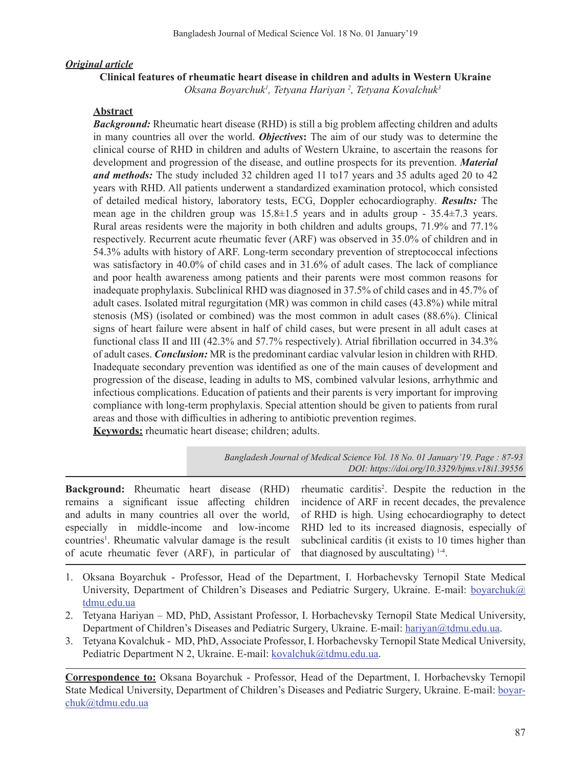## *Original article*

# **Clinical features of rheumatic heart disease in children and adults in Western Ukraine**

*Oksana Boyarchuk1 , Tetyana Hariyan 2 , Tetyana Kovalchuk3*

## **Abstract**

*Background:* Rheumatic heart disease (RHD) is still a big problem affecting children and adults in many countries all over the world. *Objectives***:** The aim of our study was to determine the clinical course of RHD in children and adults of Western Ukraine, to ascertain the reasons for development and progression of the disease, and outline prospects for its prevention. *Material and methods:* The study included 32 children aged 11 to17 years and 35 adults aged 20 to 42 years with RHD. All patients underwent a standardized examination protocol, which consisted of detailed medical history, laboratory tests, ECG, Doppler echocardiography*. Results:* The mean age in the children group was  $15.8 \pm 1.5$  years and in adults group -  $35.4 \pm 7.3$  years. Rural areas residents were the majority in both children and adults groups, 71.9% and 77.1% respectively. Recurrent acute rheumatic fever (ARF) was observed in 35.0% of children and in 54.3% adults with history of ARF. Long-term secondary prevention of streptococcal infections was satisfactory in 40.0% of child cases and in 31.6% of adult cases. The lack of compliance and poor health awareness among patients and their parents were most common reasons for inadequate prophylaxis. Subclinical RHD was diagnosed in 37.5% of child cases and in 45.7% of adult cases. Isolated mitral regurgitation (MR) was common in child cases (43.8%) while mitral stenosis (MS) (isolated or combined) was the most common in adult cases (88.6%). Clinical signs of heart failure were absent in half of child cases, but were present in all adult cases at functional class II and III (42.3% and 57.7% respectively). Atrial fibrillation occurred in 34.3% of adult cases. *Conclusion:* MR is the predominant cardiac valvular lesion in children with RHD. Inadequate secondary prevention was identified as one of the main causes of development and progression of the disease, leading in adults to MS, combined valvular lesions, arrhythmic and infectious complications. Education of patients and their parents is very important for improving compliance with long-term prophylaxis. Special attention should be given to patients from rural areas and those with difficulties in adhering to antibiotic prevention regimes.

**Keywords:** rheumatic heart disease; children; adults.

*Bangladesh Journal of Medical Science Vol. 18 No. 01 January'19. Page : 87-93 DOI: https://doi.org/10.3329/bjms.v18i1.39556*

**Background:** Rheumatic heart disease (RHD) remains a significant issue affecting children and adults in many countries all over the world, especially in middle-income and low-income countries<sup>1</sup>. Rheumatic valvular damage is the result of acute rheumatic fever (ARF), in particular of

rheumatic carditis<sup>2</sup>. Despite the reduction in the incidence of ARF in recent decades, the prevalence of RHD is high. Using echocardiography to detect RHD led to its increased diagnosis, especially of subclinical carditis (it exists to 10 times higher than that diagnosed by auscultating)  $1-4$ .

- 1. Oksana Boyarchuk Professor, Head of the Department, I. Horbachevsky Ternopil State Medical University, Department of Children's Diseases and Pediatric Surgery, Ukraine. E-mail: boyarchuk@ tdmu.edu.ua
- 2. Tetyana Hariyan MD, PhD, Assistant Professor, I. Horbachevsky Ternopil State Medical University, Department of Children's Diseases and Pediatric Surgery, Ukraine. E-mail: hariyan@tdmu.edu.ua.
- 3. Tetyana Kovalchuk MD, PhD, Associate Professor, I. Horbachevsky Ternopil State Medical University, Pediatric Department N 2, Ukraine. E-mail: kovalchuk@tdmu.edu.ua.

**Correspondence to:** Oksana Boyarchuk - Professor, Head of the Department, I. Horbachevsky Ternopil State Medical University, Department of Children's Diseases and Pediatric Surgery, Ukraine. E-mail: boyarchuk@tdmu.edu.ua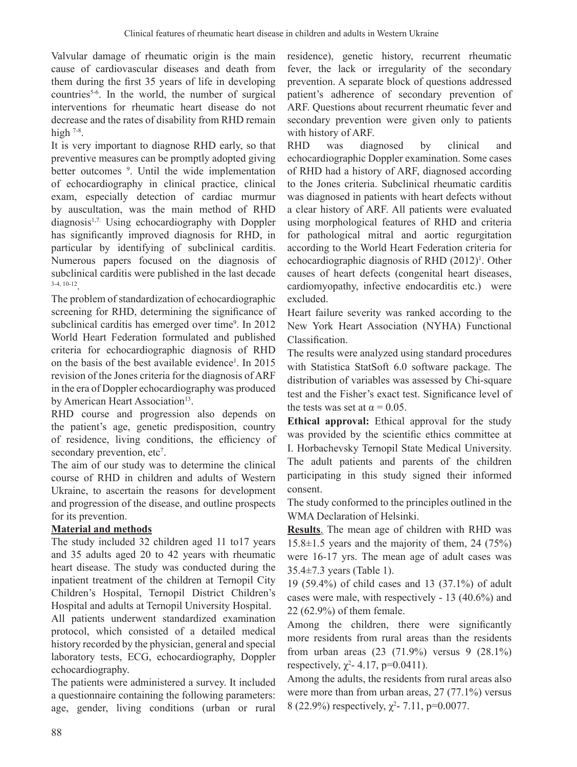Valvular damage of rheumatic origin is the main cause of cardiovascular diseases and death from them during the first 35 years of life in developing countries<sup>5-6</sup>. In the world, the number of surgical interventions for rheumatic heart disease do not decrease and the rates of disability from RHD remain high  $7-8$ .

It is very important to diagnose RHD early, so that preventive measures can be promptly adopted giving better outcomes <sup>9</sup>. Until the wide implementation of echocardiography in clinical practice, clinical exam, especially detection of cardiac murmur by auscultation, was the main method of RHD diagnosis<sup>1,7.</sup> Using echocardiography with Doppler has significantly improved diagnosis for RHD, in particular by identifying of subclinical carditis. Numerous papers focused on the diagnosis of subclinical carditis were published in the last decade 3-4, 10-12.

The problem of standardization of echocardiographic screening for RHD, determining the significance of subclinical carditis has emerged over time<sup>9</sup>. In 2012 World Heart Federation formulated and published criteria for echocardiographic diagnosis of RHD on the basis of the best available evidence<sup>1</sup>. In 2015 revision of the Jones criteria for the diagnosis of ARF in the era of Doppler echocardiography was produced by American Heart Association<sup>13</sup>.

RHD course and progression also depends on the patient's age, genetic predisposition, country of residence, living conditions, the efficiency of secondary prevention, etc<sup>7</sup>.

The aim of our study was to determine the clinical course of RHD in children and adults of Western Ukraine, to ascertain the reasons for development and progression of the disease, and outline prospects for its prevention.

## **Material and methods**

The study included 32 children aged 11 to17 years and 35 adults aged 20 to 42 years with rheumatic heart disease. The study was conducted during the inpatient treatment of the children at Ternopil City Children's Hospital, Ternopil District Children's Hospital and adults at Ternopil University Hospital.

All patients underwent standardized examination protocol, which consisted of a detailed medical history recorded by the physician, general and special laboratory tests, ECG, echocardiography, Doppler echocardiography.

The patients were administered a survey. It included a questionnaire containing the following parameters: age, gender, living conditions (urban or rural

residence), genetic history, recurrent rheumatic fever, the lack or irregularity of the secondary prevention. A separate block of questions addressed patient's adherence of secondary prevention of ARF. Questions about recurrent rheumatic fever and secondary prevention were given only to patients with history of ARF.

RHD was diagnosed by clinical and echocardiographic Doppler examination. Some cases of RHD had a history of ARF, diagnosed according to the Jones criteria. Subclinical rheumatic carditis was diagnosed in patients with heart defects without a clear history of ARF. All patients were evaluated using morphological features of RHD and criteria for pathological mitral and aortic regurgitation according to the World Heart Federation criteria for echocardiographic diagnosis of RHD (2012)<sup>1</sup>. Other causes of heart defects (congenital heart diseases, cardiomyopathy, infective endocarditis etc.) were excluded.

Heart failure severity was ranked according to the New York Heart Association (NYHA) Functional Classification.

The results were analyzed using standard procedures with Statistica StatSoft 6.0 software package. The distribution of variables was assessed by Chi-square test and the Fisher's exact test. Significance level of the tests was set at  $\alpha = 0.05$ .

**Ethical approval:** Ethical approval for the study was provided by the scientific ethics committee at I. Horbachevsky Ternopil State Medical University. The adult patients and parents of the children participating in this study signed their informed consent.

The study conformed to the principles outlined in the WMA Declaration of Helsinki.

**Results**. The mean age of children with RHD was 15.8±1.5 years and the majority of them, 24 (75%) were 16-17 yrs. The mean age of adult cases was 35.4±7.3 years (Table 1).

19 (59.4%) of child cases and 13 (37.1%) of adult cases were male, with respectively - 13 (40.6%) and 22 (62.9%) of them female.

Among the children, there were significantly more residents from rural areas than the residents from urban areas (23 (71.9%) versus 9 (28.1%) respectively,  $\chi^2$ - 4.17, p=0.0411).

Among the adults, the residents from rural areas also were more than from urban areas, 27 (77.1%) versus 8 (22.9%) respectively,  $\chi^2$ - 7.11, p=0.0077.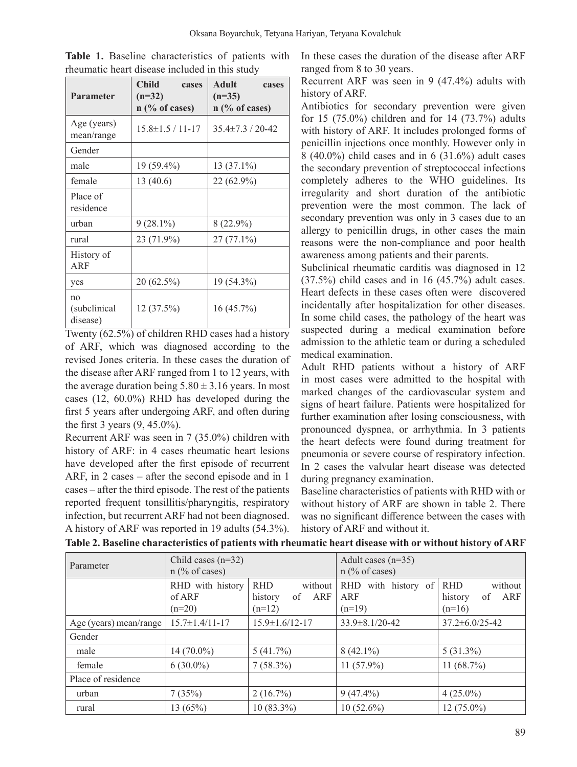| <b>Parameter</b>               | <b>Child</b><br>cases<br>$(n=32)$<br>$n$ (% of cases) | <b>Adult</b><br>cases<br>$(n=35)$<br>$n$ (% of cases) |
|--------------------------------|-------------------------------------------------------|-------------------------------------------------------|
| Age (years)<br>mean/range      | $15.8 \pm 1.5 / 11 - 17$                              | $35.4 \pm 7.3 / 20 - 42$                              |
| Gender                         |                                                       |                                                       |
| male                           | 19 (59.4%)                                            | $13(37.1\%)$                                          |
| female                         | 13(40.6)                                              | 22 (62.9%)                                            |
| Place of<br>residence          |                                                       |                                                       |
| urban                          | $9(28.1\%)$                                           | $8(22.9\%)$                                           |
| rural                          | 23 (71.9%)                                            | $27(77.1\%)$                                          |
| History of<br>ARF              |                                                       |                                                       |
| yes                            | 20 (62.5%)                                            | 19 (54.3%)                                            |
| no<br>(subclinical<br>disease) | 12(37.5%)                                             | 16(45.7%)                                             |

**Table 1.** Baseline characteristics of patients with rheumatic heart disease included in this study

Twenty (62.5%) of children RHD cases had a history of ARF, which was diagnosed according to the revised Jones criteria. In these cases the duration of the disease after ARF ranged from 1 to 12 years, with the average duration being  $5.80 \pm 3.16$  years. In most cases (12, 60.0%) RHD has developed during the first 5 years after undergoing ARF, and often during the first 3 years (9, 45.0%).

Recurrent ARF was seen in 7 (35.0%) children with history of ARF: in 4 cases rheumatic heart lesions have developed after the first episode of recurrent ARF, in 2 cases – after the second episode and in 1 cases – after the third episode. The rest of the patients reported frequent tonsillitis/pharyngitis, respiratory infection, but recurrent ARF had not been diagnosed. A history of ARF was reported in 19 adults (54.3%).

In these cases the duration of the disease after ARF ranged from 8 to 30 years.

Recurrent ARF was seen in 9 (47.4%) adults with history of ARF.

Antibiotics for secondary prevention were given for 15 (75.0%) children and for 14 (73.7%) adults with history of ARF. It includes prolonged forms of penicillin injections once monthly. However only in 8 (40.0%) child cases and in 6 (31.6%) adult cases the secondary prevention of streptococcal infections completely adheres to the WHO guidelines. Its irregularity and short duration of the antibiotic prevention were the most common. The lack of secondary prevention was only in 3 cases due to an allergy to penicillin drugs, in other cases the main reasons were the non-compliance and poor health awareness among patients and their parents.

Subclinical rheumatic carditis was diagnosed in 12 (37.5%) child cases and in 16 (45.7%) adult cases. Heart defects in these cases often were discovered incidentally after hospitalization for other diseases. In some child cases, the pathology of the heart was suspected during a medical examination before admission to the athletic team or during a scheduled medical examination.

Adult RHD patients without a history of ARF in most cases were admitted to the hospital with marked changes of the cardiovascular system and signs of heart failure. Patients were hospitalized for further examination after losing consciousness, with pronounced dyspnea, or arrhythmia. In 3 patients the heart defects were found during treatment for pneumonia or severe course of respiratory infection. In 2 cases the valvular heart disease was detected during pregnancy examination.

Baseline characteristics of patients with RHD with or without history of ARF are shown in table 2. There was no significant difference between the cases with history of ARF and without it.

| Parameter              | Child cases $(n=32)$   |                        | Adult cases $(n=35)$          |                          |  |
|------------------------|------------------------|------------------------|-------------------------------|--------------------------|--|
|                        | $n$ (% of cases)       |                        | $n$ (% of cases)              |                          |  |
|                        | RHD with history       | <b>RHD</b><br>without  | with history of<br><b>RHD</b> | without<br><b>RHD</b>    |  |
|                        | of ARF                 | history<br>of ARF      | ARF                           | ARF<br>of<br>history     |  |
|                        | $(n=20)$               | $(n=12)$               | $(n=19)$                      | $(n=16)$                 |  |
| Age (years) mean/range | $15.7 \pm 1.4/11 - 17$ | $15.9 \pm 1.6/12 - 17$ | $33.9 \pm 8.1/20 - 42$        | $37.2 \pm 6.0 / 25 - 42$ |  |
| Gender                 |                        |                        |                               |                          |  |
| male                   | $14(70.0\%)$           | 5(41.7%)               | $8(42.1\%)$                   | $5(31.3\%)$              |  |
| female                 | $6(30.0\%)$            | $7(58.3\%)$            | $11(57.9\%)$                  | 11 $(68.7%)$             |  |
| Place of residence     |                        |                        |                               |                          |  |
| urban                  | 7(35%)                 | $2(16.7\%)$            | $9(47.4\%)$                   | $4(25.0\%)$              |  |
| rural                  | 13 $(65%)$             | $10(83.3\%)$           | $10(52.6\%)$                  | $12(75.0\%)$             |  |

**Table 2. Baseline characteristics of patients with rheumatic heart disease with or without history of ARF**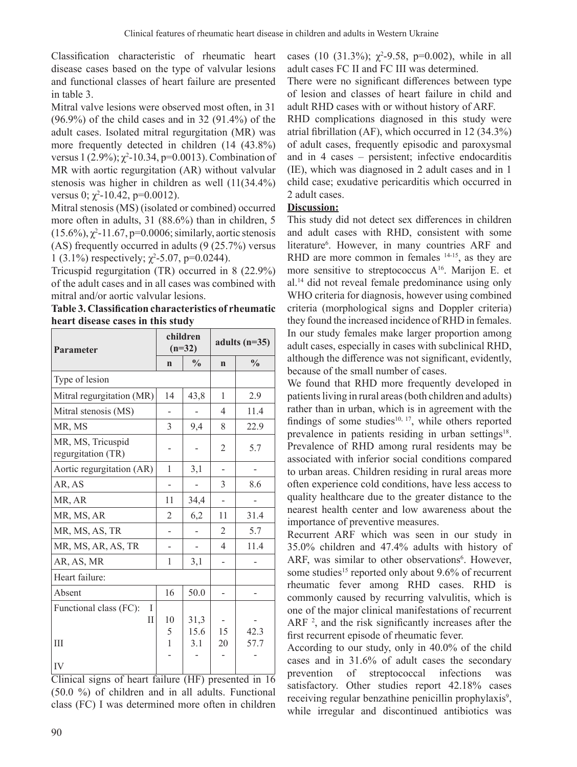Classification characteristic of rheumatic heart disease cases based on the type of valvular lesions and functional classes of heart failure are presented in table 3.

Mitral valve lesions were observed most often, in 31 (96.9%) of the child cases and in 32 (91.4%) of the adult cases. Isolated mitral regurgitation (MR) was more frequently detected in children (14 (43.8%) versus 1 (2.9%);  $\chi^2$ -10.34, p=0.0013). Combination of MR with aortic regurgitation (AR) without valvular stenosis was higher in children as well (11(34.4%) versus 0;  $\chi^2$ -10.42, p=0.0012).

Mitral stenosis (MS) (isolated or combined) occurred more often in adults, 31 (88.6%) than in children, 5  $(15.6\%), \chi^2$ -11.67, p=0.0006; similarly, aortic stenosis (AS) frequently occurred in adults (9 (25.7%) versus 1 (3.1%) respectively;  $\chi^2$ -5.07, p=0.0244).

Tricuspid regurgitation (TR) occurred in 8 (22.9%) of the adult cases and in all cases was combined with mitral and/or aortic valvular lesions.

**Table 3. Classification characteristics of rheumatic heart disease cases in this study**

| Parameter                               | children<br>$(n=32)$       |               | adults $(n=35)$          |               |
|-----------------------------------------|----------------------------|---------------|--------------------------|---------------|
|                                         | $\mathbf n$                | $\frac{0}{0}$ | $\mathbf n$              | $\frac{0}{0}$ |
| Type of lesion                          |                            |               |                          |               |
| Mitral regurgitation (MR)               | 14                         | 43,8          | $\mathbf{1}$             | 2.9           |
| Mitral stenosis (MS)                    |                            |               | 4                        | 11.4          |
| MR, MS                                  | 3                          | 9,4           | 8                        | 22.9          |
| MR, MS, Tricuspid<br>regurgitation (TR) |                            |               | 2                        | 5.7           |
| Aortic regurgitation (AR)               | 1                          | 3,1           |                          |               |
| AR, AS                                  |                            |               | 3                        | 8.6           |
| MR, AR                                  | 11                         | 34,4          | $\overline{a}$           |               |
| MR, MS, AR                              | $\overline{2}$             | 6,2           | 11                       | 31.4          |
| MR, MS, AS, TR                          |                            |               | $\overline{2}$           | 5.7           |
| MR, MS, AR, AS, TR                      |                            |               | $\overline{\mathcal{L}}$ | 11.4          |
| AR, AS, MR                              | 1                          | 3,1           |                          |               |
| Heart failure:                          |                            |               |                          |               |
| Absent                                  | 16                         | 50.0          |                          |               |
| Functional class (FC):<br>T             |                            |               |                          |               |
| П                                       | 10                         | 31,3          |                          |               |
| $III$                                   | $\sqrt{5}$<br>$\mathbf{1}$ | 15.6<br>3.1   | 15<br>20                 | 42.3<br>57.7  |
|                                         |                            |               |                          |               |
| IV                                      |                            |               |                          |               |

Clinical signs of heart failure (HF) presented in 16 (50.0 %) of children and in all adults. Functional class (FC) I was determined more often in children

cases (10 (31.3%);  $\chi^2$ -9.58, p=0.002), while in all adult cases FC II and FC III was determined.

There were no significant differences between type of lesion and classes of heart failure in child and adult RHD cases with or without history of ARF.

RHD complications diagnosed in this study were atrial fibrillation (AF), which occurred in 12 (34.3%) of adult cases, frequently episodic and paroxysmal and in 4 cases – persistent; infective endocarditis (IE), which was diagnosed in 2 adult cases and in 1 child case; exudative pericarditis which occurred in 2 adult cases.

#### **Discussion:**

This study did not detect sex differences in children and adult cases with RHD, consistent with some literature<sup>6</sup>. However, in many countries ARF and RHD are more common in females  $14-15$ , as they are more sensitive to streptococcus A16. Marijon E. et al.<sup>14</sup> did not reveal female predominance using only WHO criteria for diagnosis, however using combined criteria (morphological signs and Doppler criteria) they found the increased incidence ofRHD in females. In our study females make larger proportion among adult cases, especially in cases with subclinical RHD, although the difference was not significant, evidently, because of the small number of cases.

We found that RHD more frequently developed in patients living in rural areas (both children and adults) rather than in urban, which is in agreement with the findings of some studies $10, 17$ , while others reported prevalence in patients residing in urban settings<sup>18</sup>. Prevalence of RHD among rural residents may be associated with inferior social conditions compared to urban areas. Children residing in rural areas more often experience cold conditions, have less access to quality healthcare due to the greater distance to the nearest health center and low awareness about the importance of preventive measures.

Recurrent ARF which was seen in our study in 35.0% children and 47.4% adults with history of ARF, was similar to other observations<sup>6</sup>. However, some studies<sup>15</sup> reported only about 9.6% of recurrent rheumatic fever among RHD cases. RHD is commonly caused by recurring valvulitis, which is one of the major clinical manifestations of recurrent ARF<sup>2</sup>, and the risk significantly increases after the first recurrent episode of rheumatic fever.

According to our study, only in 40.0% of the child cases and in 31.6% of adult cases the secondary prevention of streptococcal infections was satisfactory. Other studies report 42.18% cases receiving regular benzathine penicillin prophylaxis<sup>9</sup>, while irregular and discontinued antibiotics was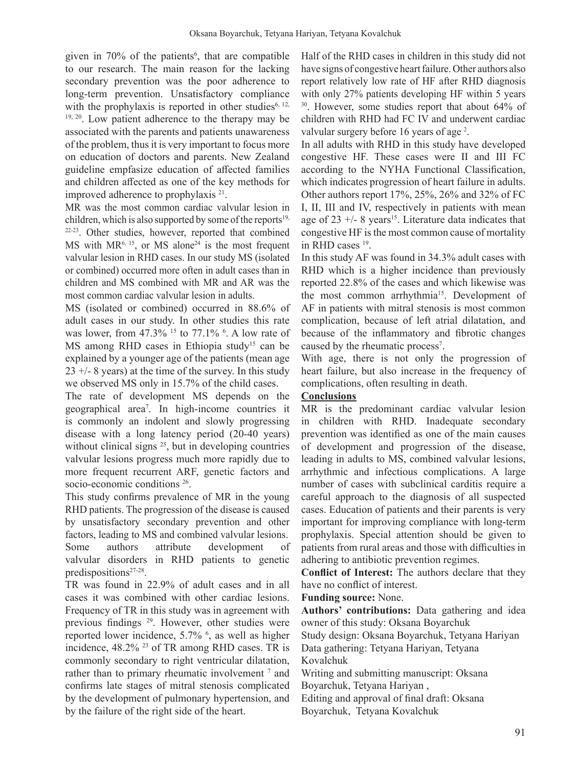given in 70% of the patients<sup>6</sup>, that are compatible to our research. The main reason for the lacking secondary prevention was the poor adherence to long-term prevention. Unsatisfactory compliance with the prophylaxis is reported in other studies $6, 12$ ,  $19, 20$ . Low patient adherence to the therapy may be associated with the parents and patients unawareness of the problem, thus it is very important to focus more on education of doctors and parents. New Zealand guideline empfasize education of affected families and children affected as one of the key methods for improved adherence to prophylaxis <sup>21</sup>.

MR was the most common cardiac valvular lesion in children, which is also supported by some of the reports<sup>19,</sup> 22-23. Other studies, however, reported that combined MS with  $MR^{6, 15}$ , or MS alone<sup>24</sup> is the most frequent valvular lesion in RHD cases. In our study MS (isolated or combined) occurred more often in adult cases than in children and MS combined with MR and AR was the most common cardiac valvular lesion in adults.

MS (isolated or combined) occurred in 88.6% of adult cases in our study. In other studies this rate was lower, from  $47.3\%$  <sup>15</sup> to  $77.1\%$  <sup>6</sup>. A low rate of MS among RHD cases in Ethiopia study<sup>15</sup> can be explained by a younger age of the patients (mean age  $23 + 8$  years) at the time of the survey. In this study we observed MS only in 15.7% of the child cases.

The rate of development MS depends on the geographical area<sup>7</sup> . In high-income countries it is commonly an indolent and slowly progressing disease with a long latency period (20-40 years) without clinical signs  $25$ , but in developing countries valvular lesions progress much more rapidly due to more frequent recurrent ARF, genetic factors and socio-economic conditions <sup>26</sup>.

This study confirms prevalence of MR in the young RHD patients. The progression of the disease is caused by unsatisfactory secondary prevention and other factors, leading to MS and combined valvular lesions. Some authors attribute development of valvular disorders in RHD patients to genetic predispositions<sup>27-28</sup>.

TR was found in 22.9% of adult cases and in all cases it was combined with other cardiac lesions. Frequency of TR in this study was in agreement with previous findings 29. However, other studies were reported lower incidence, 5.7% <sup>6</sup> , as well as higher incidence, 48.2% <sup>23</sup> of TR among RHD cases. TR is commonly secondary to right ventricular dilatation, rather than to primary rheumatic involvement<sup>7</sup> and confirms late stages of mitral stenosis complicated by the development of pulmonary hypertension, and by the failure of the right side of the heart.

Half of the RHD cases in children in this study did not have signs of congestive heart failure. Other authors also report relatively low rate of HF after RHD diagnosis with only 27% patients developing HF within 5 years 30. However, some studies report that about 64% of children with RHD had FC IV and underwent cardiac valvular surgery before 16 years of age <sup>2</sup>.

In all adults with RHD in this study have developed congestive HF. These cases were II and III FC according to the NYHA Functional Classification, which indicates progression of heart failure in adults. Other authors report 17%, 25%, 26% and 32% of FC I, II, III and IV, respectively in patients with mean age of  $23 +1$ - 8 years<sup>15</sup>. Literature data indicates that congestive HF isthe most common cause of mortality in RHD cases 19.

In this study AF was found in 34.3% adult cases with RHD which is a higher incidence than previously reported 22.8% of the cases and which likewise was the most common arrhythmia<sup>15</sup>. Development of AF in patients with mitral stenosis is most common complication, because of left atrial dilatation, and because of the inflammatory and fibrotic changes caused by the rheumatic process<sup>7</sup>.

With age, there is not only the progression of heart failure, but also increase in the frequency of complications, often resulting in death.

#### **Conclusions**

MR is the predominant cardiac valvular lesion in children with RHD. Inadequate secondary prevention was identified as one of the main causes of development and progression of the disease, leading in adults to MS, combined valvular lesions, arrhythmic and infectious complications. A large number of cases with subclinical carditis require a careful approach to the diagnosis of all suspected cases. Education of patients and their parents is very important for improving compliance with long-term prophylaxis. Special attention should be given to patients from rural areas and those with difficulties in adhering to antibiotic prevention regimes.

**Conflict of Interest:** The authors declare that they have no conflict of interest.

**Funding source:** None.

**Authors' contributions:** Data gathering and idea owner of this study: Oksana Boyarchuk

Study design: Oksana Boyarchuk, Tetyana Hariyan Data gathering: Tetyana Hariyan, Tetyana

Kovalchuk

Writing and submitting manuscript: Oksana Boyarchuk, Tetyana Hariyan , Editing and approval of final draft: Oksana

Boyarchuk, Tetyana Kovalchuk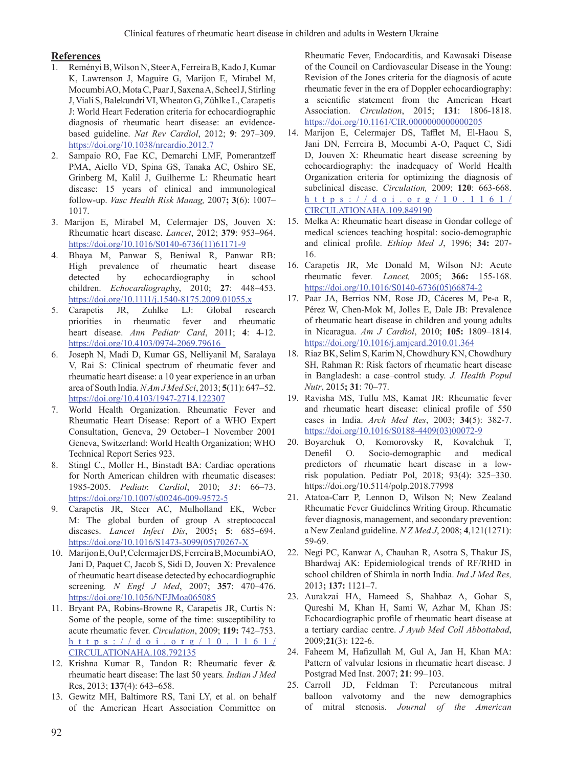#### **References**

- 1. ReményiB,Wilson N, SteerA, FerreiraB, Kado J, Kumar K, Lawrenson J, Maguire G, Marijon E, Mirabel M, Mocumbi AO, Mota C, Paar J, Saxena A, Scheel J, Stirling J, Viali S, Balekundri VI, Wheaton G, Zühlke L, Carapetis J: World Heart Federation criteria for echocardiographic diagnosis of rheumatic heart disease: an evidencebased guideline. *Nat Rev Cardiol*, 2012; **9**: 297–309. https://doi.org/10.1038/nrcardio.2012.7
- 2. Sampaio RO, Fae KC, Demarchi LMF, Pomerantzeff PMA, Aiello VD, Spina GS, Tanaka AC, Oshiro SE, Grinberg M, Kalil J, Guilherme L: Rheumatic heart disease: 15 years of clinical and immunological follow-up. *Vasc Health Risk Manag,* 2007**; 3**(6): 1007– 1017.
- 3. Marijon E, Mirabel M, Celermajer DS, Jouven X: Rheumatic heart disease. *Lancet*, 2012; **379**: 953–964. https://doi.org/10.1016/S0140-6736(11)61171-9
- 4. Bhaya M, Panwar S, Beniwal R, Panwar RB: High prevalence of rheumatic heart disease detected by echocardiography in school children. *Echocardiograp*hy, 2010; **27**: 448–453. https://doi.org/10.1111/j.1540-8175.2009.01055.x
- 5. Carapetis JR, Zuhlke LJ: Global research priorities in rheumatic fever and rheumatic heart disease. *Ann Pediatr Card*, 2011; **4**: 4-12. https://doi.org/10.4103/0974-2069.79616
- 6. Joseph N, Madi D, Kumar GS, Nelliyanil M, Saralaya V, Rai S: Clinical spectrum of rheumatic fever and rheumatic heart disease: a 10 year experience in an urban area of South India*. N Am J Med Sci*, 2013; **5**(11): 647–52. https://doi.org/10.4103/1947-2714.122307
- 7. World Health Organization. Rheumatic Fever and Rheumatic Heart Disease: Report of a WHO Expert Consultation, Geneva, 29 October–1 November 2001 Geneva, Switzerland: World Health Organization; WHO Technical Report Series 923.
- Stingl C., Moller H., Binstadt BA: Cardiac operations for North American children with rheumatic diseases: 1985-2005. *Pediatr. Cardiol*, 2010; *31*: 66–73. https://doi.org/10.1007/s00246-009-9572-5
- 9. Carapetis JR, Steer AC, Mulholland EK, Weber M: The global burden of group A streptococcal diseases. *Lancet Infect Dis*, 2005**; 5**: 685–694. https://doi.org/10.1016/S1473-3099(05)70267-X
- 10. MarijonE,OuP,CelermajerDS,FerreiraB,MocumbiAO, Jani D, Paquet C, Jacob S, Sidi D, Jouven X: Prevalence of rheumatic heart disease detected by echocardiographic screening*. N Engl J Med*, 2007; **357**: 470–476. https://doi.org/10.1056/NEJMoa065085
- 11. Bryant PA, Robins-Browne R, Carapetis JR, Curtis N: Some of the people, some of the time: susceptibility to acute rheumatic fever. *Circulation*, 2009; **119:** 742–753. https://doi.org/10.1161/ CIRCULATIONAHA.108.792135
- 12. Krishna Kumar R, Tandon R: Rheumatic fever & rheumatic heart disease: The last 50 years*. Indian J Med*  Res, 2013; **137**(4): 643–658.
- 13. Gewitz MH, Baltimore RS, Tani LY, et al. on behalf of the American Heart Association Committee on

Rheumatic Fever, Endocarditis, and Kawasaki Disease of the Council on Cardiovascular Disease in the Young: Revision of the Jones criteria for the diagnosis of acute rheumatic fever in the era of Doppler echocardiography: a scientific statement from the American Heart Association. *Circulation*, 2015; **131**: 1806-1818. https://doi.org/10.1161/CIR.0000000000000205

- 14. Marijon E, Celermajer DS, Tafflet M, El-Haou S, Jani DN, Ferreira B, Mocumbi A-O, Paquet C, Sidi D, Jouven X: Rheumatic heart disease screening by echocardiography: the inadequacy of World Health Organization criteria for optimizing the diagnosis of subclinical disease. *Circulation,* 2009; **120**: 663-668. https://doi.org/10.1161/ CIRCULATIONAHA.109.849190
- 15. Melka A: Rheumatic heart disease in Gondar college of medical sciences teaching hospital: socio-demographic and clinical profile. *Ethiop Med J*, 1996; **34:** 207- 16.
- 16. Carapetis JR, Mc Donald M, Wilson NJ: Acute rheumatic fever*. Lancet,* 2005; **366:** 155-168. https://doi.org/10.1016/S0140-6736(05)66874-2
- 17. Paar JA, Berrios NM, Rose JD, Cáceres M, Pe-a R, Pérez W, Chen-Mok M, Jolles E, Dale JB: Prevalence of rheumatic heart disease in children and young adults in Nicaragua. *Am J Cardiol*, 2010; **105:** 1809–1814. https://doi.org/10.1016/j.amjcard.2010.01.364
- 18. Riaz BK, Selim S, Karim N, Chowdhury KN, Chowdhury SH, Rahman R: Risk factors of rheumatic heart disease in Bangladesh: a case–control study. *J. Health Popul Nutr*, 2015**; 31**: 70–77.
- 19. Ravisha MS, Tullu MS, Kamat JR: Rheumatic fever and rheumatic heart disease: clinical profile of 550 cases in India. *Arch Med Res*, 2003; **34**(5): 382-7. https://doi.org/10.1016/S0188-4409(03)00072-9
- 20. Boyarchuk O, Komorovsky R, Kovalchuk T, Denefil O. Socio-demographic and medical predictors of rheumatic heart disease in a lowrisk population. Pediatr Pol, 2018; 93(4): 325–330. https://doi.org/10.5114/polp.2018.77998
- 21. Atatoa-Carr P, Lennon D, Wilson N; New Zealand Rheumatic Fever Guidelines Writing Group. Rheumatic fever diagnosis, management, and secondary prevention: a New Zealand guideline. *N Z Med J*, 2008; **4**,121(1271): 59-69.
- 22. Negi PC, Kanwar A, Chauhan R, Asotra S, Thakur JS, Bhardwaj AK: Epidemiological trends of RF/RHD in school children of Shimla in north India. *Ind J Med Res,* 2013**; 137:** 1121–7.
- 23. Aurakzai HA, Hameed S, Shahbaz A, Gohar S, Qureshi M, Khan H, Sami W, Azhar M, Khan JS: Echocardiographic profile of rheumatic heart disease at a tertiary cardiac centre. *J Ayub Med Coll Abbottabad*, 2009;**21**(3): 122-6.
- 24. Faheem M, Hafizullah M, Gul A, Jan H, Khan MA: Pattern of valvular lesions in rheumatic heart disease. J Postgrad Med Inst. 2007; **21**: 99–103.
- 25. Carroll JD, Feldman T: Percutaneous mitral balloon valvotomy and the new demographics of mitral stenosis. *Journal of the American*